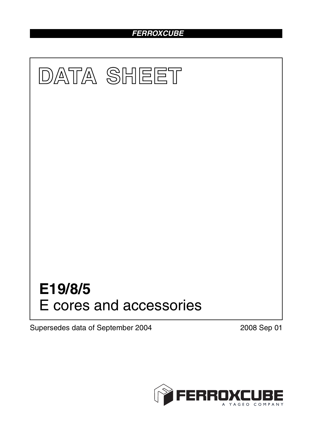### *FERROXCUBE*



Supersedes data of September 2004 2008 Sep 01

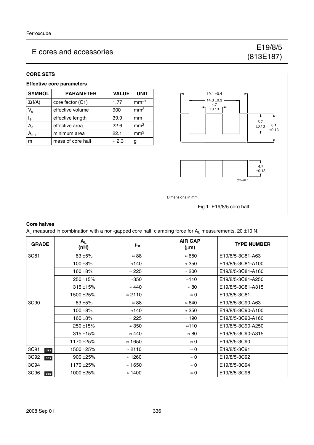### E cores and accessories E cores and accessories E cores and accessories

# (813E187)

### **CORE SETS**

### **Effective core parameters**

| <b>SYMBOL</b> | <b>PARAMETER</b>  | <b>VALUE</b>  | <b>UNIT</b>     |
|---------------|-------------------|---------------|-----------------|
| $\Sigma(I/A)$ | core factor (C1)  | 1.77          | $mm-1$          |
| $V_{e}$       | effective volume  | 900           | mm <sup>3</sup> |
| $I_e$         | effective length  | 39.9          | mm              |
| $A_{\rm e}$   | effective area    | 22.6          | mm <sup>2</sup> |
| <b>\</b> min  | minimum area      | 22.1          | mm <sup>2</sup> |
| m             | mass of core half | $\approx 2.3$ | g               |



#### **Core halves**

 $A_L$  measured in combination with a non-gapped core half, clamping force for  $A_L$  measurements, 20 ±10 N.

| <b>GRADE</b> | $A_{L}$<br>(nH) | $\mu_{\mathbf{e}}$ | <b>AIR GAP</b><br>$(\mu m)$ | <b>TYPE NUMBER</b> |
|--------------|-----------------|--------------------|-----------------------------|--------------------|
| 3C81         | 63 $\pm$ 5%     | $\approx 88$       | $\approx 650$               | E19/8/5-3C81-A63   |
|              | $100 + 8%$      | $\approx$ 140      | $\approx 350$               | E19/8/5-3C81-A100  |
|              | $160 + 8%$      | $\approx 225$      | $\approx 200$               | E19/8/5-3C81-A160  |
|              | $250 \pm 15\%$  | $\approx$ 350      | $\approx$ 110               | E19/8/5-3C81-A250  |
|              | $315 + 15%$     | $\approx 440$      | $\approx 80$                | E19/8/5-3C81-A315  |
|              | 1500 ±25%       | $\approx$ 2110     | $\approx 0$                 | E19/8/5-3C81       |
| 3C90         | $63 + 5%$       | $\approx 88$       | $\approx 640$               | E19/8/5-3C90-A63   |
|              | $100 + 8%$      | $\approx$ 140      | $\approx 350$               | E19/8/5-3C90-A100  |
|              | $160 + 8%$      | $\approx 225$      | $\approx$ 190               | E19/8/5-3C90-A160  |
|              | 250 ±15%        | $\approx 350$      | $\approx$ 110               | E19/8/5-3C90-A250  |
|              | $315 + 15%$     | $\approx 440$      | $\approx 80$                | E19/8/5-3C90-A315  |
|              | 1170 ±25%       | $\approx$ 1650     | $\approx 0$                 | E19/8/5-3C90       |
| 3C91<br>des  | 1500 ± 25%      | $\approx$ 2110     | $\approx 0$                 | E19/8/5-3C91       |
| 3C92<br>des  | $900 + 25%$     | $\approx$ 1260     | $\approx 0$                 | E19/8/5-3C92       |
| 3C94         | 1170 ±25%       | $\approx 1650$     | $\approx 0$                 | E19/8/5-3C94       |
| 3C96<br>des  | 1000 ±25%       | $\approx$ 1400     | $\approx 0$                 | E19/8/5-3C96       |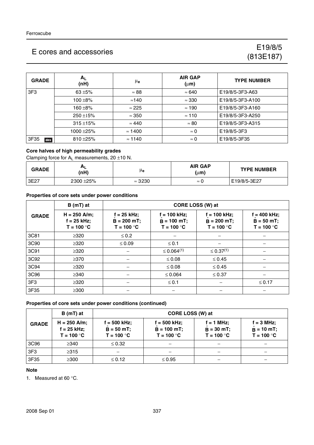### E cores and accessories Energy and accessories Energy E19/8/5

## (813E187)

| <b>GRADE</b> | $A_L$<br>(nH) | μ <sub>e</sub> | <b>AIR GAP</b><br>$(\mu m)$ | <b>TYPE NUMBER</b> |
|--------------|---------------|----------------|-----------------------------|--------------------|
| 3F3          | $63 + 5%$     | $\approx 88$   | $\approx 640$               | E19/8/5-3F3-A63    |
|              | $100 + 8%$    | $\approx$ 140  | $\approx 330$               | E19/8/5-3F3-A100   |
|              | 160 $\pm$ 8%  | $\approx$ 225  | $\approx$ 190               | E19/8/5-3F3-A160   |
|              | $250 + 15%$   | $\approx 350$  | $\approx$ 110               | E19/8/5-3F3-A250   |
|              | $315 + 15%$   | $\approx 440$  | $\approx 80$                | E19/8/5-3F3-A315   |
|              | 1000 ± 25%    | $\approx$ 1400 | $\approx 0$                 | E19/8/5-3F3        |
| 3F35<br>des  | $810 + 25%$   | $\approx$ 1140 | $\approx 0$                 | E19/8/5-3F35       |

### **Core halves of high permeability grades**

Clamping force for  $A_L$  measurements, 20  $\pm$ 10 N.

| <b>GRADE</b> | ու<br>(nH) | μe             | <b>AIR GAP</b><br>$(\mu m)$ | <b>TYPE NUMBER</b> |
|--------------|------------|----------------|-----------------------------|--------------------|
| 3E27         | 2300 ± 25% | $\approx$ 3230 | $\approx 0$                 | E19/8/5-3E27       |

### **Properties of core sets under power conditions**

|                 | $B(mT)$ at                                      | CORE LOSS (W) at                                |                                                 |                                                  |                                                 |  |  |
|-----------------|-------------------------------------------------|-------------------------------------------------|-------------------------------------------------|--------------------------------------------------|-------------------------------------------------|--|--|
| <b>GRADE</b>    | $H = 250$ A/m;<br>$f = 25$ kHz;<br>$T = 100 °C$ | $f = 25$ kHz;<br>$B = 200 mT$ ;<br>$T = 100 °C$ | $f = 100$ kHz;<br>$B = 100$ mT;<br>$T = 100 °C$ | $f = 100$ kHz;<br>$B = 200 mT$ ;<br>$T = 100 °C$ | $f = 400$ kHz;<br>$B = 50 mT$ ;<br>$T = 100 °C$ |  |  |
| 3C81            | $\geq 320$                                      | $\leq 0.2$                                      |                                                 |                                                  |                                                 |  |  |
| 3C90            | $\geq 320$                                      | $\leq 0.09$                                     | $≤ 0.1$                                         |                                                  |                                                 |  |  |
| 3C91            | $\geq 320$                                      |                                                 | $\leq 0.064^{(1)}$                              | $\leq 0.37^{(1)}$                                |                                                 |  |  |
| 3C92            | $\geq$ 370                                      |                                                 | $\leq 0.08$                                     | $\leq 0.45$                                      |                                                 |  |  |
| 3C94            | $\geq 320$                                      |                                                 | $\leq 0.08$                                     | $\leq 0.45$                                      |                                                 |  |  |
| 3C96            | $\geq$ 340                                      |                                                 | $\leq 0.064$                                    | $\leq 0.37$                                      |                                                 |  |  |
| 3F <sub>3</sub> | $\geq 320$                                      |                                                 | $\leq 0.1$                                      |                                                  | $≤ 0.17$                                        |  |  |
| 3F35            | $\geq 300$                                      |                                                 |                                                 |                                                  |                                                 |  |  |

### **Properties of core sets under power conditions (continued)**

|                  | $B(mT)$ at                                      | CORE LOSS (W) at                                |                                                 |                                              |                                              |  |
|------------------|-------------------------------------------------|-------------------------------------------------|-------------------------------------------------|----------------------------------------------|----------------------------------------------|--|
| <b>GRADE</b>     | $H = 250$ A/m;<br>$f = 25$ kHz;<br>$T = 100 °C$ | $f = 500$ kHz;<br>$B = 50 mT$ ;<br>$T = 100 °C$ | $f = 500$ kHz;<br>$B = 100$ mT;<br>$T = 100 °C$ | $f = 1$ MHz;<br>$B = 30$ mT;<br>$T = 100 °C$ | $f = 3 MHz$<br>$B = 10 mT$ ;<br>$T = 100 °C$ |  |
| 3C <sub>96</sub> | $\geq$ 340                                      | $\leq 0.32$                                     |                                                 |                                              |                                              |  |
| 3F3              | $\geq$ 315                                      |                                                 |                                                 |                                              |                                              |  |
| 3F35             | $\geq$ 300                                      | $\leq 0.12$                                     | $\leq 0.95$                                     |                                              |                                              |  |

#### **Note**

1. Measured at 60 °C.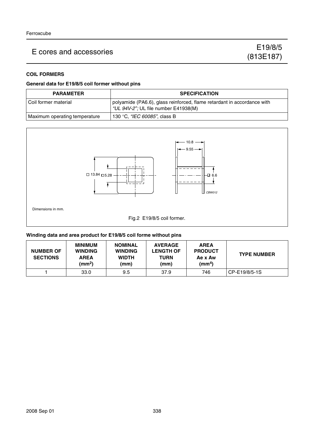## E cores and accessories E cores and accessories E cores and accessories

### **COIL FORMERS**

### **General data for E19/8/5 coil former without pins**

| <b>PARAMETER</b>              | <b>SPECIFICATION</b>                                                                                            |
|-------------------------------|-----------------------------------------------------------------------------------------------------------------|
| Coil former material          | polyamide (PA6.6), glass reinforced, flame retardant in accordance with<br>"UL 94V-2"; UL file number E41938(M) |
| Maximum operating temperature | 130 °C, "IEC 60085", class B                                                                                    |



#### **Winding data and area product for E19/8/5 coil forme without pins**

| <b>NUMBER OF</b><br><b>SECTIONS</b> | MINIMUM<br><b>WINDING</b><br><b>AREA</b><br>(mm <sup>2</sup> ) | <b>NOMINAL</b><br><b>WINDING</b><br><b>WIDTH</b><br>(mm) | <b>AVERAGE</b><br><b>LENGTH OF</b><br><b>TURN</b><br>(mm) | <b>AREA</b><br><b>PRODUCT</b><br>Ae x Aw<br>(mm $^{4}$ ) | <b>TYPE NUMBER</b> |
|-------------------------------------|----------------------------------------------------------------|----------------------------------------------------------|-----------------------------------------------------------|----------------------------------------------------------|--------------------|
|                                     | 33.0                                                           | 9.5                                                      | 37.9                                                      | 746                                                      | CP-E19/8/5-1S      |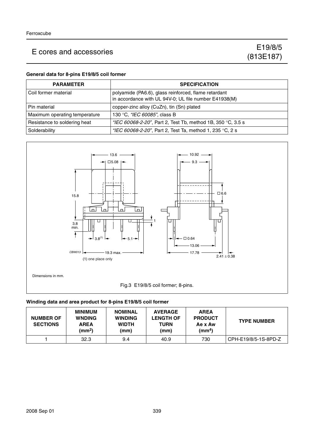## E cores and accessories Energy and accessories Energy E19/8/5

### **General data for 8-pins E19/8/5 coil former**

| <b>PARAMETER</b>              | <b>SPECIFICATION</b>                                                                                          |
|-------------------------------|---------------------------------------------------------------------------------------------------------------|
| l Coil former material        | polyamide (PA6.6), glass reinforced, flame retardant<br>in accordance with UL 94V-0; UL file number E41938(M) |
| l Pin material                | copper-zinc alloy (CuZn), tin (Sn) plated                                                                     |
| Maximum operating temperature | 130 °C, "IEC 60085", class B                                                                                  |
| Resistance to soldering heat  | "IEC 60068-2-20", Part 2, Test Tb, method 1B, 350 °C, 3.5 s                                                   |
| Solderability                 | "IEC 60068-2-20", Part 2, Test Ta, method 1, 235 °C, 2 s                                                      |



### **Winding data and area product for 8-pins E19/8/5 coil former**

| <b>NUMBER OF</b><br><b>SECTIONS</b> | <b>MINIMUM</b><br><b>WNDING</b><br><b>AREA</b><br>(mm <sup>2</sup> ) | <b>NOMINAL</b><br><b>WINDING</b><br><b>WIDTH</b><br>(mm) | <b>AVERAGE</b><br><b>LENGTH OF</b><br><b>TURN</b><br>(mm) | <b>AREA</b><br><b>PRODUCT</b><br>Ae x Aw<br>(mm <sup>4</sup> ) | <b>TYPE NUMBER</b>   |
|-------------------------------------|----------------------------------------------------------------------|----------------------------------------------------------|-----------------------------------------------------------|----------------------------------------------------------------|----------------------|
|                                     | 32.3                                                                 | 9.4                                                      | 40.9                                                      | 730                                                            | CPH-E19/8/5-1S-8PD-Z |